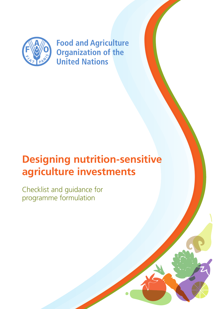

**Food and Agriculture Organization of the United Nations** 

# **Designing nutrition-sensitive agriculture investments**

Checklist and guidance for programme formulation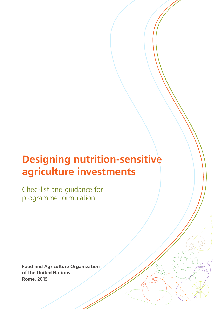# **Designing nutrition-sensitive agriculture investments**

Checklist and guidance for programme formulation

**Food and Agriculture Organization of the United Nations Rome, 2015**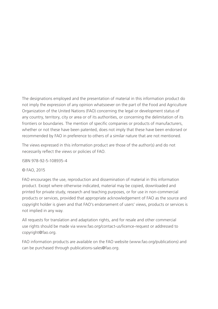The designations employed and the presentation of material in this information product do not imply the expression of any opinion whatsoever on the part of the Food and Agriculture Organization of the United Nations (FAO) concerning the legal or development status of any country, territory, city or area or of its authorities, or concerning the delimitation of its frontiers or boundaries. The mention of specific companies or products of manufacturers, whether or not these have been patented, does not imply that these have been endorsed or recommended by FAO in preference to others of a similar nature that are not mentioned.

The views expressed in this information product are those of the author(s) and do not necessarily reflect the views or policies of FAO.

ISBN 978-92-5-108935-4

#### © FAO, 2015

FAO encourages the use, reproduction and dissemination of material in this information product. Except where otherwise indicated, material may be copied, downloaded and printed for private study, research and teaching purposes, or for use in non-commercial products or services, provided that appropriate acknowledgement of FAO as the source and copyright holder is given and that FAO's endorsement of users' views, products or services is not implied in any way.

All requests for translation and adaptation rights, and for resale and other commercial use rights should be made via www.fao.org/contact-us/licence-request or addressed to copyright@fao.org.

FAO information products are available on the FAO website (www.fao.org/publications) and can be purchased through publications-sales@fao.org.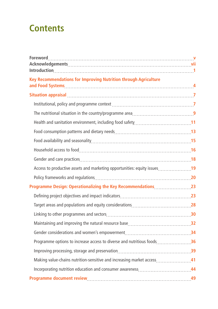# **Contents**

| Key Recommendations for Improving Nutrition through Agriculture                                                |  |
|----------------------------------------------------------------------------------------------------------------|--|
| and Food Systems (1997) 4 and Food Systems (1998) 4                                                            |  |
| Situation appraisal [11] Situation appraisal [11] Masseum Masseum Masseum Masseum Masseum Masseum Masseum Mass |  |
|                                                                                                                |  |
|                                                                                                                |  |
|                                                                                                                |  |
|                                                                                                                |  |
|                                                                                                                |  |
|                                                                                                                |  |
|                                                                                                                |  |
| Access to productive assets and marketing opportunities: equity issues19                                       |  |
|                                                                                                                |  |
| Programme Design: Operationalizing the Key Recommendations 23                                                  |  |
|                                                                                                                |  |
|                                                                                                                |  |
|                                                                                                                |  |
|                                                                                                                |  |
|                                                                                                                |  |
|                                                                                                                |  |
|                                                                                                                |  |
| Making value-chains nutrition-sensitive and increasing market access 41                                        |  |
|                                                                                                                |  |
|                                                                                                                |  |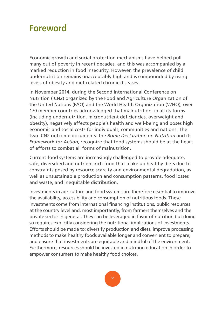## <span id="page-6-0"></span>**Foreword**

Economic growth and social protection mechanisms have helped pull many out of poverty in recent decades, and this was accompanied by a marked reduction in food insecurity. However, the prevalence of child undernutrition remains unacceptably high and is compounded by rising levels of obesity and diet-related chronic diseases.

In November 2014, during the Second International Conference on Nutrition (ICN2) organized by the Food and Agriculture Organization of the United Nations (FAO) and the World Health Organization (WHO), over 170 member countries acknowledged that malnutrition, in all its forms (including undernutrition, micronutrient deficiencies, overweight and obesity), negatively affects people's health and well-being and poses high economic and social costs for individuals, communities and nations. The two ICN2 outcome documents: the *Rome Declaration on Nutrition* and its *Framework for Action*, recognize that food systems should be at the heart of efforts to combat all forms of malnutrition.

Current food systems are increasingly challenged to provide adequate, safe, diversified and nutrient-rich food that make up healthy diets due to constraints posed by resource scarcity and environmental degradation, as well as unsustainable production and consumption patterns, food losses and waste, and inequitable distribution.

Investments in agriculture and food systems are therefore essential to improve the availability, accessibility and consumption of nutritious foods. These investments come from international financing institutions, public resources at the country level and, most importantly, from farmers themselves and the private sector in general. They can be leveraged in favor of nutrition but doing so requires explicitly considering the nutritional implications of investments. Efforts should be made to: diversify production and diets; improve processing methods to make healthy foods available longer and convenient to prepare; and ensure that investments are equitable and mindful of the environment. Furthermore, resources should be invested in nutrition education in order to empower consumers to make healthy food choices.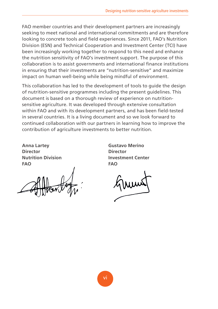FAO member countries and their development partners are increasingly seeking to meet national and international commitments and are therefore looking to concrete tools and field experiences. Since 2011, FAO's Nutrition Division (ESN) and Technical Cooperation and Investment Center (TCI) have been increasingly working together to respond to this need and enhance the nutrition sensitivity of FAO's investment support. The purpose of this collaboration is to assist governments and international finance institutions in ensuring that their investments are "nutrition-sensitive" and maximize impact on human well-being while being mindful of environment.

This collaboration has led to the development of tools to guide the design of nutrition-sensitive programmes including the present guidelines. This document is based on a thorough review of experience on nutritionsensitive agriculture. It was developed through extensive consultation within FAO and with its development partners, and has been field-tested in several countries. It is a living document and so we look forward to continued collaboration with our partners in learning how to improve the contribution of agriculture investments to better nutrition.

**Anna Lartey Director Nutrition Division FAO**

**Gustavo Merino Director Investment Center FAO**

vi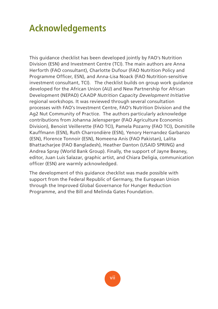# <span id="page-8-0"></span>**Acknowledgements**

This guidance checklist has been developed jointly by FAO's Nutrition Division (ESN) and Investment Centre (TCI). The main authors are Anna Herforth (FAO consultant), Charlotte Dufour (FAO Nutrition Policy and Programme Officer, ESN), and Anna-Lisa Noack (FAO Nutrition-sensitive investment consultant, TCI). The checklist builds on group work guidance developed for the African Union (AU) and New Partnership for African Development (NEPAD) CAADP *Nutrition Capacity Development Initiative* regional workshops. It was reviewed through several consultation processes with FAO's Investment Centre, FAO's Nutrition Division and the Ag2 Nut Community of Practice. The authors particularly acknowledge contributions from Johanna Jelensperger (FAO Agriculture Economics Division), Benoist Veillerette (FAO TCI), Pamela Pozarny (FAO TCI), Domitille Kauffmann (ESN), Ruth Charrondière (ESN), Yenory Hernandez Garbanzo (ESN), Florence Tonnoir (ESN), Nomeena Anis (FAO Pakistan), Lalita Bhattacharjee (FAO Bangladesh), Heather Danton (USAID SPRING) and Andrea Spray (World Bank Group). Finally, the support of Jayne Beaney, editor, Juan Luis Salazar, graphic artist, and Chiara Deligia, communication officer (ESN) are warmly acknowledged.

The development of this guidance checklist was made possible with support from the Federal Republic of Germany, the European Union through the Improved Global Governance for Hunger Reduction Programme, and the Bill and Melinda Gates Foundation.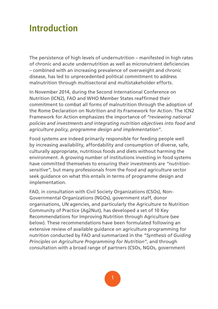## <span id="page-10-0"></span>**Introduction**

The persistence of high levels of undernutrition – manifested in high rates of chronic and acute undernutrition as well as micronutrient deficiencies – combined with an increasing prevalence of overweight and chronic disease, has led to unprecedented political commitment to address malnutrition through multisectoral and multistakeholder efforts.

In November 2014, during the Second International Conference on Nutrition (ICN2), FAO and WHO Member States reaffirmed their commitment to combat all forms of malnutrition through the adoption of the Rome Declaration on Nutrition and its Framework for Action. The ICN2 Framework for Action emphasizes the importance of *"reviewing national policies and investments and integrating nutrition objectives into food and agriculture policy, programme design and implementation"*.

Food systems are indeed primarily responsible for feeding people well by increasing availability, affordability and consumption of diverse, safe, culturally appropriate, nutritious foods and diets without harming the environment. A growing number of institutions investing in food systems have committed themselves to ensuring their investments are *"nutritionsensitive"*, but many professionals from the food and agriculture sector seek guidance on what this entails in terms of programme design and implementation.

FAO, in consultation with Civil Society Organizations (CSOs), Non-Governmental Organizations (NGOs), government staff, donor organisations, UN agencies, and particularly the Agriculture to Nutrition Community of Practice (Ag2Nut), has developed a set of 10 Key Recommendations for Improving Nutrition through Agriculture (see below). These recommendations have been formulated following an extensive review of available guidance on agriculture programming for nutrition conducted by FAO and summarized in the *"Synthesis of Guiding Principles on Agriculture Programming for Nutrition"*, and through consultation with a broad range of partners (CSOs, NGOs, government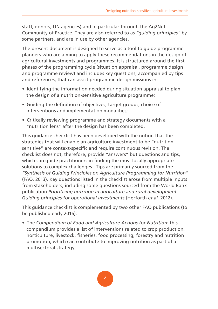staff, donors, UN agencies) and in particular through the Ag2Nut Community of Practice. They are also referred to as *"guiding principles"* by some partners, and are in use by other agencies.

The present document is designed to serve as a tool to guide programme planners who are aiming to apply these recommendations in the design of agricultural investments and programmes. It is structured around the first phases of the programming cycle (situation appraisal, programme design and programme review) and includes key questions, accompanied by tips and references, that can assist programme design missions in:

- Identifying the information needed during situation appraisal to plan the design of a nutrition-sensitive agriculture programme;
- Guiding the definition of objectives, target groups, choice of interventions and implementation modalities;
- Critically reviewing programme and strategy documents with a "nutrition lens" after the design has been completed.

This guidance checklist has been developed with the notion that the strategies that will enable an agriculture investment to be "nutritionsensitive" are context-specific and require continuous revision. The checklist does not, therefore, provide "answers" but questions and tips, which can guide practitioners in finding the most locally appropriate solutions to complex challenges. Tips are primarily sourced from the *"Synthesis of Guiding Principles on Agriculture Programming for Nutrition"*  (FAO, 2013). Key questions listed in the checklist arose from multiple inputs from stakeholders, including some questions sourced from the World Bank publication *Prioritizing nutrition in agriculture and rural development: Guiding principles for operational investments* (Herforth *et al.* 2012).

This guidance checklist is complemented by two other FAO publications (to be published early 2016):

• The *Compendium of Food and Agriculture Actions for Nutrition*: this compendium provides a list of interventions related to crop production, horticulture, livestock, fisheries, food processing, forestry and nutrition promotion, which can contribute to improving nutrition as part of a multisectoral strategy;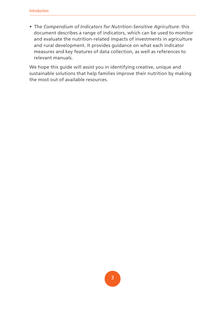• The *Compendium of Indicators for Nutrition-Sensitive Agriculture*: this document describes a range of indicators, which can be used to monitor and evaluate the nutrition-related impacts of investments in agriculture and rural development. It provides guidance on what each indicator measures and key features of data collection, as well as references to relevant manuals.

We hope this guide will assist you in identifying creative, unique and sustainable solutions that help families improve their nutrition by making the most out of available resources.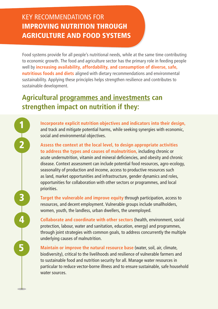### KEY RECOMMENDATIONS FOR IMPROVING NUTRITION THROUGH AGRICULTURE AND FOOD SYSTEMS

1

2

3

4

5

Food systems provide for all people's nutritional needs, while at the same time contributing to economic growth. The food and agriculture sector has the primary role in feeding people well by **increasing availability, affordability, and consumption of diverse, safe, nutritious foods and diets** aligned with dietary recommendations and environmental sustainability. Applying these principles helps strengthen resilience and contributes to sustainable development.

### **Agricultural programmes and investments can strengthen impact on nutrition if they:**

**Incorporate explicit nutrition objectives and indicators into their design,** and track and mitigate potential harms, while seeking synergies with economic, social and environmental objectives.

**Assess the context at the local level, to design appropriate activities to address the types and causes of malnutrition,** including chronic or acute undernutrition, vitamin and mineral deficiencies, and obesity and chronic disease. Context assessment can include potential food resources, agro-ecology, seasonality of production and income, access to productive resources such as land, market opportunities and infrastructure, gender dynamics and roles, opportunities for collaboration with other sectors or programmes, and local priorities.

**Target the vulnerable and improve equity** through participation, access to resources, and decent employment. Vulnerable groups include smallholders, women, youth, the landless, urban dwellers, the unemployed.

**Collaborate and coordinate with other sectors** (health, environment, social protection, labour, water and sanitation, education, energy) and programmes, through joint strategies with common goals, to address concurrently the multiple underlying causes of malnutrition.

**Maintain or improve the natural resource base** (water, soil, air, climate, biodiversity), critical to the livelihoods and resilience of vulnerable farmers and to sustainable food and nutrition security for all. Manage water resources in particular to reduce vector-borne illness and to ensure sustainable, safe household water sources.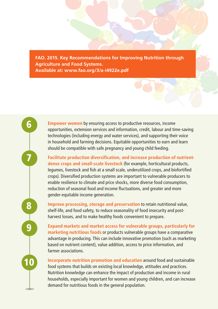**FAO. 2015. Key Recommendations for Improving Nutrition through Agriculture and Food Systems. Available at: www.fao.org/3/a-i4922e.pdf**

6

7

8

9

10

**Empower women** by ensuring access to productive resources, income opportunities, extension services and information, credit, labour and time-saving technologies (including energy and water services), and supporting their voice in household and farming decisions. Equitable opportunities to earn and learn should be compatible with safe pregnancy and young child feeding.

**Facilitate production diversification, and increase production of nutrientdense crops and small-scale livestock** (for example, horticultural products, legumes, livestock and fish at a small scale, underutilized crops, and biofortified crops). Diversified production systems are important to vulnerable producers to enable resilience to climate and price shocks, more diverse food consumption, reduction of seasonal food and income fluctuations, and greater and more gender-equitable income generation.

**Improve processing, storage and preservation** to retain nutritional value, shelf-life, and food safety, to reduce seasonality of food insecurity and postharvest losses, and to make healthy foods convenient to prepare.

**Expand markets and market access for vulnerable groups, particularly for marketing nutritious foods** or products vulnerable groups have a comparative advantage in producing. This can include innovative promotion (such as marketing based on nutrient content), value addition, access to price information, and farmer associations.

**Incorporate nutrition promotion and education** around food and sustainable food systems that builds on existing local knowledge, attitudes and practices. Nutrition knowledge can enhance the impact of production and income in rural households, especially important for women and young children, and can increase demand for nutritious foods in the general population.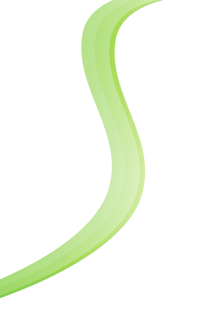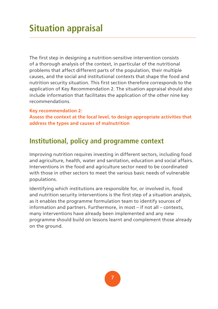<span id="page-16-0"></span>The first step in designing a nutrition-sensitive intervention consists of a thorough analysis of the context, in particular of the nutritional problems that affect different parts of the population, their multiple causes, and the social and institutional contexts that shape the food and nutrition security situation. This first section therefore corresponds to the application of Key Recommendation 2. The situation appraisal should also include information that facilitates the application of the other nine key recommendations.

**Key recommendation 2:** 

**Assess the context at the local level, to design appropriate activities that address the types and causes of malnutrition**

### **Institutional, policy and programme context**

Improving nutrition requires investing in different sectors, including food and agriculture, health, water and sanitation, education and social affairs. Interventions in the food and agriculture sector need to be coordinated with those in other sectors to meet the various basic needs of vulnerable populations.

Identifying which institutions are responsible for, or involved in, food and nutrition security interventions is the first step of a situation analysis, as it enables the programme formulation team to identify sources of information and partners. Furthermore, in most – if not all – contexts, many interventions have already been implemented and any new programme should build on lessons learnt and complement those already on the ground.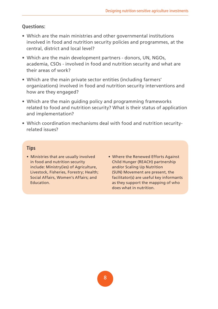#### **Questions:**

- Which are the main ministries and other governmental institutions involved in food and nutrition security policies and programmes, at the central, district and local level?
- Which are the main development partners donors, UN, NGOs, academia, CSOs - involved in food and nutrition security and what are their areas of work?
- Which are the main private sector entities (including farmers' organizations) involved in food and nutrition security interventions and how are they engaged?
- Which are the main guiding policy and programming frameworks related to food and nutrition security? What is their status of application and implementation?
- Which coordination mechanisms deal with food and nutrition securityrelated issues?

#### **Tips**

- Ministries that are usually involved in food and nutrition security include: Ministry(ies) of Agriculture, Livestock, Fisheries, Forestry; Health; Social Affairs, Women's Affairs; and Education.
- Where the Renewed Efforts Against Child Hunger (REACH) partnership and/or Scaling Up Nutrition (SUN) Movement are present, the facilitator(s) are useful key informants as they support the mapping of who does what in nutrition.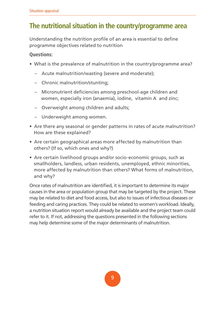### <span id="page-18-0"></span>**The nutritional situation in the country/programme area**

Understanding the nutrition profile of an area is essential to define programme objectives related to nutrition

#### **Questions:**

- What is the prevalence of malnutrition in the country/programme area?
	- –– Acute malnutrition/wasting (severe and moderate);
	- –– Chronic malnutrition/stunting;
	- –– Micronutrient deficiencies among preschool-age children and women, especially iron (anaemia), iodine, vitamin A and zinc;
	- –– Overweight among children and adults;
	- –– Underweight among women.
- Are there any seasonal or gender patterns in rates of acute malnutrition? How are these explained?
- Are certain geographical areas more affected by malnutrition than others? (If so, which ones and why?)
- Are certain livelihood groups and/or socio-economic groups, such as smallholders, landless, urban residents, unemployed, ethnic minorities, more affected by malnutrition than others? What forms of malnutrition, and why?

Once rates of malnutrition are identified, it is important to determine its major causes in the area or population group that may be targeted by the project. These may be related to diet and food access, but also to issues of infectious diseases or feeding and caring practices. They could be related to women's workload. Ideally, a nutrition situation report would already be available and the project team could refer to it. If not, addressing the questions presented in the following sections may help determine some of the major determinants of malnutrition.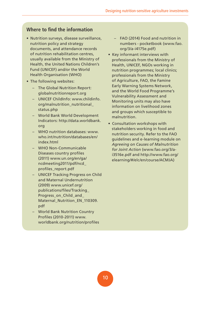- Nutrition surveys, disease surveillance, nutrition policy and strategy documents, and attendance records of nutrition rehabilitation centres, usually available from the Ministry of Health, the United Nations Children's Fund (UNICEF) and/or the World Health Organisation (WHO)
- The following websites:
	- –– The Global Nutrition Report: [globalnutritionreport.org](http://globalnutritionreport.org)
	- –– UNICEF ChildInfo: www.childinfo. org/malnutrition\_nutritional\_ status.php
	- –– World Bank World Development Indicators: http://data.worldbank. org
	- –– WHO nutrition databases: www. who.int/nutrition/databases/en/ index.html
	- –– WHO Non-Communicable Diseases country profiles (2011) www.un.org/en/ga/ ncdmeeting2011/pdf/ncd\_ profiles\_report.pdf
	- –– UNICEF Tracking Progress on Child and Maternal Undernutrition (2009) www.unicef.org/ publications/files/Tracking\_ Progress\_on\_Child\_and Maternal Nutrition EN 110309. pdf
	- –– World Bank Nutrition Country Profiles (2010-2011) www. worldbank.org/nutrition/profiles
- –– FAO (2014) Food and nutrition in numbers - pocketbook (www.fao. org/3/a-i4175e.pdf)
- Key informant interviews with professionals from the Ministry of Health, UNICEF, NGOs working in nutrition programmes; local clinics; professionals from the Ministry of Agriculture, FAO, the Famine Early Warning Systems Network, and the World Food Programme's Vulnerability Assessment and Monitoring units may also have information on livelihood zones and groups which susceptible to malnutrition.
- Consultation workshops with stakeholders working in food and nutrition security. Refer to the FAO guidelines and e-learning module on *Agreeing on Causes of Malnutrition for Joint Action* (www.fao.org/3/ai3516e.pdf and http://www.fao.org/ elearning/#/elc/en/course/ACMJA)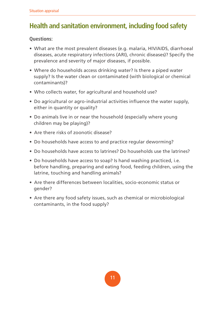### <span id="page-20-0"></span>**Health and sanitation environment, including food safety**

#### **Questions:**

- What are the most prevalent diseases (e.g. malaria, HIV/AIDS, diarrhoeal diseases, acute respiratory infections (ARI), chronic diseases)? Specify the prevalence and severity of major diseases, if possible.
- Where do households access drinking water? Is there a piped water supply? Is the water clean or contaminated (with biological or chemical contaminants)?
- Who collects water, for agricultural and household use?
- Do agricultural or agro-industrial activities influence the water supply, either in quantity or quality?
- Do animals live in or near the household (especially where young children may be playing)?
- Are there risks of zoonotic disease?
- Do households have access to and practice regular deworming?
- Do households have access to latrines? Do households use the latrines?
- Do households have access to soap? Is hand washing practiced, i.e. before handling, preparing and eating food, feeding children, using the latrine, touching and handling animals?
- Are there differences between localities, socio-economic status or gender?
- Are there any food safety issues, such as chemical or microbiological contaminants, in the food supply?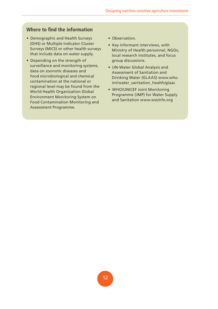- Demographic and Health Surveys (DHS) or Multiple Indicator Cluster Surveys (MICS) or other health surveys that include data on water supply.
- Depending on the strength of surveillance and monitoring systems, data on zoonotic diseases and food microbiological and chemical contamination at the national or regional level may be found from the World Health Organization Global Environment Monitoring System on Food Contamination Monitoring and Assessment Programme.
- Observation.
- Key informant interviews, with Ministry of Health personnel, NGOs, local research institutes, and focus group discussions.
- UN-Water Global Analysis and Assessment of Sanitation and Drinking Water (GLAAS) www.who. int/water\_sanitation\_health/glaas
- WHO/UNICEF Joint Monitoring Programme (JMP) for Water Supply and Sanitation www.wssinfo.org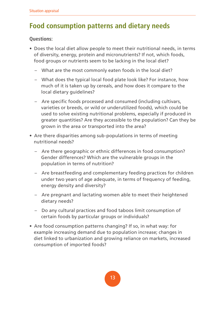### <span id="page-22-0"></span>**Food consumption patterns and dietary needs**

#### **Questions:**

- Does the local diet allow people to meet their nutritional needs, in terms of diversity, energy, protein and micronutrients? If not, which foods, food groups or nutrients seem to be lacking in the local diet?
	- –– What are the most commonly eaten foods in the local diet?
	- –– What does the typical local food plate look like? For instance, how much of it is taken up by cereals, and how does it compare to the local dietary guidelines?
	- –– Are specific foods processed and consumed (including cultivars, varieties or breeds, or wild or underutilized foods), which could be used to solve existing nutritional problems, especially if produced in greater quantities? Are they accessible to the population? Can they be grown in the area or transported into the area?
- Are there disparities among sub-populations in terms of meeting nutritional needs?
	- –– Are there geographic or ethnic differences in food consumption? Gender differences? Which are the vulnerable groups in the population in terms of nutrition?
	- –– Are breastfeeding and complementary feeding practices for children under two years of age adequate, in terms of frequency of feeding, energy density and diversity?
	- –– Are pregnant and lactating women able to meet their heightened dietary needs?
	- –– Do any cultural practices and food taboos limit consumption of certain foods by particular groups or individuals?
- Are food consumption patterns changing? If so, in what way: for example increasing demand due to population increase; changes in diet linked to urbanization and growing reliance on markets, increased consumption of imported foods?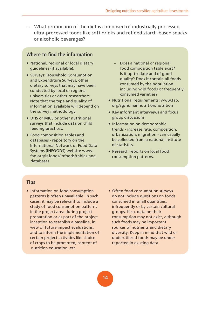–– What proportion of the diet is composed of industrially processed ultra-processed foods like soft drinks and refined starch-based snacks or alcoholic beverages?

#### **Where to find the information**

- National, regional or local dietary guidelines (if available).
- Surveys: Household Consumption and Expenditure Surveys, other dietary surveys that may have been conducted by local or regional universities or other researchers. Note that the type and quality of information available will depend on the survey methodology.
- DHS or MICS or other nutritional surveys that include data on child feeding practices.
- Food composition tables and databases - repository on the International Network of Food Data Systems (INFOODS) website www. fao.org/infoods/infoods/tables-anddatabases
- –– Does a national or regional food composition table exist? Is it up-to-date and of good quality? Does it contain all foods consumed by the population including wild foods or frequently consumed varieties?
- Nutritional requirements: www.fao. org/ag/humannutrition/nutrition
- Key informant interviews and focus group discussions.
- Information on demographic trends - increase rate, composition, urbanization, migration - can usually be collected from a national institute of statistics.
- Research reports on local food consumption patterns.

#### **Tips**

- Information on food consumption patterns is often unavailable. In such cases, it may be relevant to include a study of food consumption patterns in the project area during project preparation or as part of the project inception to establish a baseline, in view of future impact evaluations, and to inform the implementation of certain project activities like choice of crops to be promoted; content of nutrition education, etc.
- Often food consumption surveys do not include questions on foods consumed in small quantities, infrequently or by certain cultural groups. If so, data on their consumption may not exist, although such foods may be important sources of nutrients and dietary diversity. Keep in mind that wild or underutilized foods may be underreported in existing data.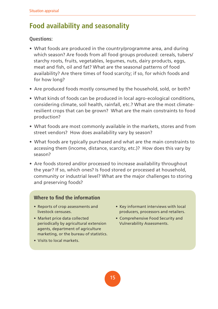### <span id="page-24-0"></span>**Food availability and seasonality**

#### **Questions:**

- What foods are produced in the country/programme area, and during which season? Are foods from all food groups produced: cereals, tubers/ starchy roots, fruits, vegetables, legumes, nuts, dairy products, eggs, meat and fish, oil and fat? What are the seasonal patterns of food availability? Are there times of food scarcity; if so, for which foods and for how long?
- Are produced foods mostly consumed by the household, sold, or both?
- What kinds of foods can be produced in local agro-ecological conditions, considering climate, soil health, rainfall, etc.? What are the most climateresilient crops that can be grown? What are the main constraints to food production?
- What foods are most commonly available in the markets, stores and from street vendors? How does availability vary by season?
- What foods are typically purchased and what are the main constraints to accessing them (income, distance, scarcity, etc.)? How does this vary by season?
- Are foods stored and/or processed to increase availability throughout the year? If so, which ones? Is food stored or processed at household, community or industrial level? What are the major challenges to storing and preserving foods?

- Reports of crop assessments and livestock censuses.
- Market price data collected periodically by agricultural extension agents, department of agriculture marketing, or the bureau of statistics.
- Visits to local markets.
- Key informant interviews with local producers, processors and retailers.
- Comprehensive Food Security and Vulnerability Assessments.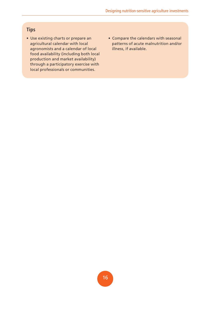#### <span id="page-25-0"></span>**Tips**

- Use existing charts or prepare an agricultural calendar with local agronomists and a calendar of local food availability (including both local production and market availability) through a participatory exercise with local professionals or communities.
- Compare the calendars with seasonal patterns of acute malnutrition and/or illness, if available.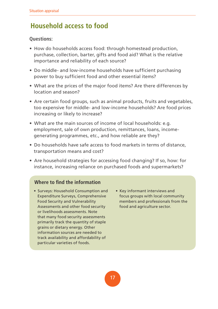### **Household access to food**

#### **Questions:**

- How do households access food: through homestead production, purchase, collection, barter, gifts and food aid? What is the relative importance and reliability of each source?
- Do middle- and low-income households have sufficient purchasing power to buy sufficient food and other essential items?
- What are the prices of the major food items? Are there differences by location and season?
- Are certain food groups, such as animal products, fruits and vegetables, too expensive for middle- and low-income households? Are food prices increasing or likely to increase?
- What are the main sources of income of local households: e.g. employment, sale of own production, remittances, loans, incomegenerating programmes, etc., and how reliable are they?
- Do households have safe access to food markets in terms of distance, transportation means and cost?
- Are household strategies for accessing food changing? If so, how: for instance, increasing reliance on purchased foods and supermarkets?

- Surveys: Household Consumption and Expenditure Surveys, Comprehensive Food Security and Vulnerability Assessments and other food security or livelihoods assessments. Note that many food security assessments primarily track the quantity of staple grains or dietary energy. Other information sources are needed to track availability and affordability of particular varieties of foods.
- Key informant interviews and focus groups with local community members and professionals from the food and agriculture sector.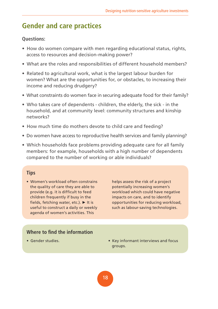### <span id="page-27-0"></span>**Gender and care practices**

#### **Questions:**

- How do women compare with men regarding educational status, rights, access to resources and decision-making power?
- What are the roles and responsibilities of different household members?
- Related to agricultural work, what is the largest labour burden for women? What are the opportunities for, or obstacles, to increasing their income and reducing drudgery?
- What constraints do women face in securing adequate food for their family?
- Who takes care of dependents children, the elderly, the sick in the household, and at community level: community structures and kinship networks?
- How much time do mothers devote to child care and feeding?
- Do women have access to reproductive health services and family planning?
- Which households face problems providing adequate care for all family members: for example, households with a high number of dependents compared to the number of working or able individuals?

#### **Tips**

• Women's workload often constrains the quality of care they are able to provide (e.g. it is difficult to feed children frequently if busy in the fields, fetching water, etc.). ► It is useful to construct a daily or weekly agenda of women's activities. This

helps assess the risk of a project potentially increasing women's workload which could have negative impacts on care, and to identify opportunities for reducing workload, such as labour-saving technologies.

- 
- Gender studies. Compared to the Key informant interviews and focus groups.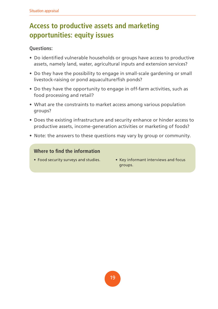### <span id="page-28-0"></span>**Access to productive assets and marketing opportunities: equity issues**

#### **Questions:**

- Do identified vulnerable households or groups have access to productive assets, namely land, water, agricultural inputs and extension services?
- Do they have the possibility to engage in small-scale gardening or small livestock-raising or pond aquaculture/fish ponds?
- Do they have the opportunity to engage in off-farm activities, such as food processing and retail?
- What are the constraints to market access among various population groups?
- Does the existing infrastructure and security enhance or hinder access to productive assets, income-generation activities or marketing of foods?
- Note: the answers to these questions may vary by group or community.

- 
- Food security surveys and studies. Key informant interviews and focus groups.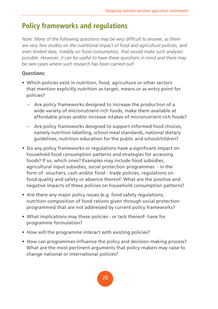### <span id="page-29-0"></span>**Policy frameworks and regulations**

*Note: Many of the following questions may be very difficult to answer, as there are very few studies on the nutritional impact of food and agriculture policies, and even limited data, notably on food consumption, that would make such analyses possible. However, it can be useful to have these questions in mind and there may be rare cases where such research has been carried out!*

#### **Questions:**

- Which policies exist in nutrition, food, agriculture or other sectors that mention explicitly nutrition as target, means or as entry point for policies?
	- –– Are policy frameworks designed to increase the production of a wide variety of micronutrient-rich foods, make them available at affordable prices and/or increase intakes of micronutrient-rich foods?
	- –– Are policy frameworks designed to support informed food choices, namely nutrition labelling, school meal standards, national dietary guidelines, nutrition education for the public and schoolchildren?
- Do any policy frameworks or regulations have a significant impact on household food consumption patterns and strategies for accessing foods? If so, which ones? Examples may include food subsidies, agricultural input subsidies, social protection programmes - in the form of vouchers, cash and/or food - trade policies, regulations on food quality and safety or absence thereof. What are the positive and negative impacts of these policies on household consumption patterns?
- Are there any major policy issues (e.g. food safety regulations; nutrition composition of food rations given through social protection programmes) that are not addressed by current policy frameworks?
- What implications may these policies or lack thereof- have for programme formulation?
- How will the programme interact with existing policies?
- How can programmes influence the policy and decision-making process? What are the most pertinent arguments that policy-makers may raise to change national or international policies?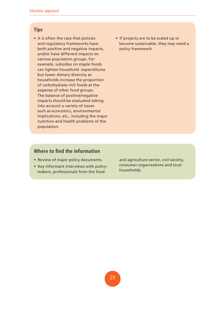#### **Tips**

- It is often the case that policies and regulatory frameworks have both positive and negative impacts, and/or have different impacts on various population groups. For example, subsidies on staple foods can lighten household expenditures but lower dietary diversity as households increase the proportion of carbohydrate-rich foods at the expense of other food groups. The balance of positive/negative impacts should be evaluated taking into account a variety of issues such as economics, environmental implications, etc., including the major nutrition and health problems of the population.
- If projects are to be scaled up or become sustainable, they may need a policy framework.

#### **Where to find the information**

- Review of major policy documents.
- Key informant interviews with policymakers, professionals from the food

and agriculture sector, civil society, consumer organizations and local households.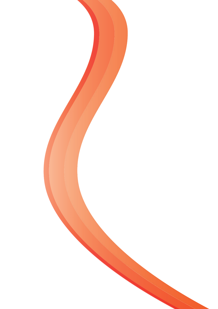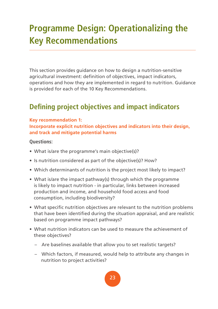# <span id="page-32-0"></span>**Programme Design: Operationalizing the Key Recommendations**

This section provides guidance on how to design a nutrition-sensitive agricultural investment: definition of objectives, impact indicators, operations and how they are implemented in regard to nutrition. Guidance is provided for each of the 10 Key Recommendations.

### **Defining project objectives and impact indicators**

#### **Key recommendation 1:**

**Incorporate explicit nutrition objectives and indicators into their design, and track and mitigate potential harms**

#### **Questions:**

- What is/are the programme's main objective(s)?
- Is nutrition considered as part of the objective(s)? How?
- Which determinants of nutrition is the project most likely to impact?
- What is/are the impact pathway(s) through which the programme is likely to impact nutrition - in particular, links between increased production and income, and household food access and food consumption, including biodiversity?
- What specific nutrition objectives are relevant to the nutrition problems that have been identified during the situation appraisal, and are realistic based on programme impact pathways?
- What nutrition indicators can be used to measure the achievement of these objectives?
	- –– Are baselines available that allow you to set realistic targets?
	- –– Which factors, if measured, would help to attribute any changes in nutrition to project activities?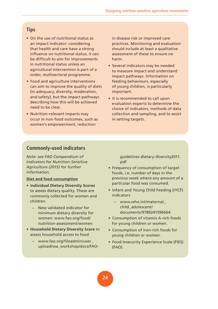#### **Tips**

- On the use of nutritional status as an impact indicator: considering that health and care have a strong influence on nutritional status, it can be difficult to aim for improvements in nutritional status unless an agricultural intervention is part of a wider, multisectoral programme.
- Food and agriculture interventions can aim to improve the quality of diets (in adequacy, diversity, moderation, and safety), but the impact pathways describing how this will be achieved need to be clear.
- Nutrition-relevant impacts may occur in non-food outcomes, such as women's empowerment, reduction

in disease risk or improved care practices. Monitoring and evaluation should include at least a qualitative assessment of these to ensure no harm.

- Several indicators may be needed to measure impact and understand impact pathways. Information on feeding behaviours, especially of young children, is particularly important.
- It is recommended to call upon evaluation experts to determine the choice of indicators, methods of data collection and sampling, and to assist in setting targets.

#### **Commonly-used indicators**

*Note: see FAO Compendium of Indicators for Nutrition-Sensitive Agriculture (2015) for further information.*

#### **Diet and food consumption**

- **• Individual Dietary Diversity Scores** to assess dietary quality. These are commonly collected for women and children.
	- –– New validated indicator for minimum dietary diversity for women: www.fao.org/food/ nutrition-assessment/women
- **• Household Dietary Diversity Score** to assess household access to food
	- –– www.fao.org/fileadmin/user\_ upload/wa\_workshop/docs/FAO-

guidelines-dietary-diversity2011. pdf

- Frequency of consumption of target foods, i.e. number of days in the previous week where any amount of a particular food was consumed.
- Infant and Young Child Feeding (IYCF) indicators
	- –– www.who.int/maternal\_ child\_adolescent/ documents/9789241596664
- Consumption of vitamin A-rich foods for young children or women.
- Consumption of iron-rich foods for young children or women.
- Food Insecurity Experience Scale (FIES) (FAO).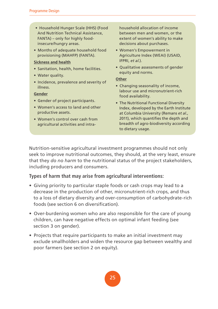- Household Hunger Scale (HHS) (Food And Nutrition Technical Assistance, FANTA) – only for highly foodinsecure/hungry areas.
- Months of adequate household food provisioning (MAHFP) (FANTA).

#### **Sickness and health**

- Sanitation, health, home facilities.
- Water quality.
- Incidence, prevalence and severity of illness.

#### **Gender**

- Gender of project participants.
- Women's access to land and other productive assets.
- Women's control over cash from agricultural activities and intra-

household allocation of income between men and women, or the extent of women's ability to make decisions about purchases.

- Women's Empowerment in Agriculture Index (WEAI) (USAID, IFPRI, *et al.*).
- Qualitative assessments of gender equity and norms.

#### **Other**

- Changing seasonality of income, labour use and micronutrient-rich food availability.
- The Nutritional Functional Diversity Index, developed by the Earth Institute at Columbia University (Remans *et al.*, 2011), which quantifies the depth and breadth of agro-biodiversity according to dietary usage.

Nutrition-sensitive agricultural investment programmes should not only seek to improve nutritional outcomes, they should, at the very least, ensure that they *do no harm* to the nutritional status of the project stakeholders, including producers and consumers.

#### **Types of harm that may arise from agricultural interventions:**

- Giving priority to particular staple foods or cash crops may lead to a decrease in the production of other, micronutrient-rich crops, and thus to a loss of dietary diversity and over-consumption of carbohydrate-rich foods (see section 6 on diversification).
- Over-burdening women who are also responsible for the care of young children, can have negative effects on optimal infant feeding (see section 3 on gender).
- Projects that require participants to make an initial investment may exclude smallholders and widen the resource gap between wealthy and poor farmers (see section 2 on equity).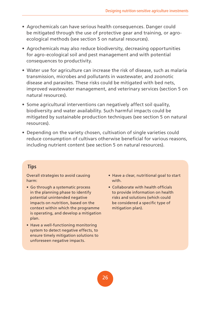- Agrochemicals can have serious health consequences. Danger could be mitigated through the use of protective gear and training, or agroecological methods (see section 5 on natural resources).
- Agrochemicals may also reduce biodiversity, decreasing opportunities for agro-ecological soil and pest management and with potential consequences to productivity.
- Water use for agriculture can increase the risk of disease, such as malaria transmission, microbes and pollutants in wastewater, and zoonotic disease and parasites. These risks could be mitigated with bed nets, improved wastewater management, and veterinary services (section 5 on natural resources).
- Some agricultural interventions can negatively affect soil quality, biodiversity and water availability. Such harmful impacts could be mitigated by sustainable production techniques (see section 5 on natural resources).
- Depending on the variety chosen, cultivation of single varieties could reduce consumption of cultivars otherwise beneficial for various reasons, including nutrient content (see section 5 on natural resources).

#### **Tips**

Overall strategies to avoid causing harm:

- Go through a systematic process in the planning phase to identify potential unintended negative impacts on nutrition, based on the context within which the programme is operating, and develop a mitigation plan.
- Have a well-functioning monitoring system to detect negative effects, to ensure timely mitigation solutions to unforeseen negative impacts.
- Have a clear, nutritional goal to start with.
- Collaborate with health officials to provide information on health risks and solutions (which could be considered a specific type of mitigation plan).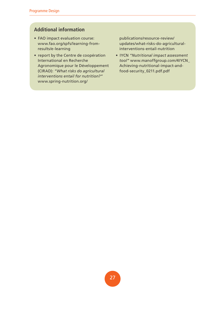#### **Additional information**

- FAO impact evaluation course: www.fao.org/spfs/learning-fromresults/e-learning
- report by the Centre de coopération International en Recherche Agronomique pour le Développement (CIRAD): *"What risks do agricultural interventions entail for nutrition?"* www.spring-nutrition.org/

publications/resource-review/ updates/what-risks-do-agriculturalinterventions-entail-nutrition

• IYCN *"Nutritional impact assessment tool"* www.manoffgroup.com/4IYCN\_ Achieving-nutritional-impact-andfood-security\_0211.pdf.pdf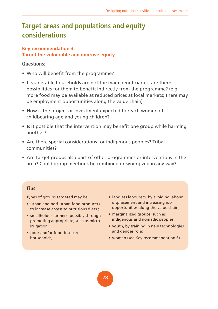### <span id="page-37-0"></span>**Target areas and populations and equity considerations**

#### **Key recommendation 3: Target the vulnerable and improve equity**

#### **Questions:**

- Who will benefit from the programme?
- If vulnerable households are not the main beneficiaries, are there possibilities for them to benefit indirectly from the programme? (e.g. more food may be available at reduced prices at local markets; there may be employment opportunities along the value chain)
- How is the project or investment expected to reach women of childbearing age and young children?
- Is it possible that the intervention may benefit one group while harming another?
- Are there special considerations for indigenous peoples? Tribal communities?
- Are target groups also part of other programmes or interventions in the area? Could group meetings be combined or synergized in any way?

#### **Tips:**

Types of groups targeted may be:

- urban and peri-urban food producers to increase access to nutritious diets ;
- smallholder farmers, possibly through promoting appropriate, such as microirrigation;
- poor and/or food-insecure households;
- landless labourers, by avoiding labour displacement and increasing job opportunities along the value chain;
- marginalized groups, such as indigenous and nomadic peoples;
- youth, by training in new technologies and gender role;
- women (see Key recommendation 6).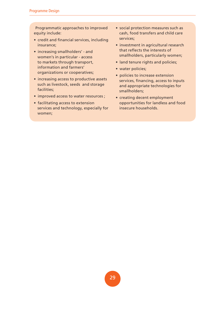Programmatic approaches to improved equity include:

- credit and financial services, including insurance;
- increasing smallholders' and women's in particular - access to markets through transport, information and farmers' organizations or cooperatives;
- increasing access to productive assets such as livestock, seeds and storage facilities;
- improved access to water resources ;
- facilitating access to extension services and technology, especially for women;
- social protection measures such as cash, food transfers and child care services;
- investment in agricultural research that reflects the interests of smallholders, particularly women;
- land tenure rights and policies;
- water policies;
- policies to increase extension services, financing, access to inputs and appropriate technologies for smallholders;
- creating decent employment opportunities for landless and food insecure households.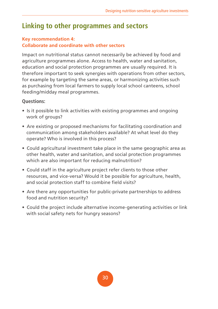### <span id="page-39-0"></span>**Linking to other programmes and sectors**

#### **Key recommendation 4: Collaborate and coordinate with other sectors**

Impact on nutritional status cannot necessarily be achieved by food and agriculture programmes alone. Access to health, water and sanitation, education and social protection programmes are usually required. It is therefore important to seek synergies with operations from other sectors, for example by targeting the same areas, or harmonizing activities such as purchasing from local farmers to supply local school canteens, school feeding/midday meal programmes.

#### **Questions:**

- Is it possible to link activities with existing programmes and ongoing work of groups?
- Are existing or proposed mechanisms for facilitating coordination and communication among stakeholders available? At what level do they operate? Who is involved in this process?
- Could agricultural investment take place in the same geographic area as other health, water and sanitation, and social protection programmes which are also important for reducing malnutrition?
- Could staff in the agriculture project refer clients to those other resources, and vice-versa? Would it be possible for agriculture, health, and social protection staff to combine field visits?
- Are there any opportunities for public-private partnerships to address food and nutrition security?
- Could the project include alternative income-generating activities or link with social safety nets for hungry seasons?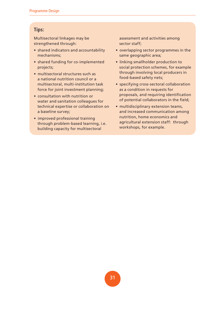#### **Tips:**

Multisectoral linkages may be strengthened through:

- shared indicators and accountability mechanisms;
- shared funding for co-implemented projects;
- multisectoral structures such as a national nutrition council or a multisectoral, multi-institution task force for joint investment planning:
- consultation with nutrition or water and sanitation colleagues for technical expertise or collaboration on a baseline survey;
- improved professional training through problem-based learning, i.e. building capacity for multisectoral

assessment and activities among sector staff;

- overlapping sector programmes in the same geographic area;
- linking smallholder production to social protection schemes, for example through involving local producers in food-based safety nets;
- specifying cross-sectoral collaboration as a condition in requests for proposals, and requiring identification of potential collaborators in the field;
- multidisciplinary extension teams, and increased communication among nutrition, home economics and agricultural extension staff: through workshops, for example.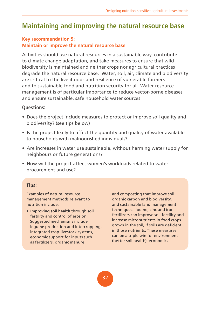### <span id="page-41-0"></span>**Maintaining and improving the natural resource base**

#### **Key recommendation 5: Maintain or improve the natural resource base**

Activities should use natural resources in a sustainable way, contribute to climate change adaptation, and take measures to ensure that wild biodiversity is maintained and neither crops nor agricultural practices degrade the natural resource base. Water, soil, air, climate and biodiversity are critical to the livelihoods and resilience of vulnerable farmers and to sustainable food and nutrition security for all. Water resource management is of particular importance to reduce vector-borne diseases and ensure sustainable, safe household water sources.

#### **Questions:**

- Does the project include measures to protect or improve soil quality and biodiversity? (see tips below)
- Is the project likely to affect the quantity and quality of water available to households with malnourished individuals?
- Are increases in water use sustainable, without harming water supply for neighbours or future generations?
- How will the project affect women's workloads related to water procurement and use?

#### **Tips:**

Examples of natural resource management methods relevant to nutrition include:

**• Improving soil health** through soil fertility and control of erosion. Suggested mechanisms include legume production and intercropping, integrated crop-livestock systems, economic support for inputs such as fertilizers, organic manure

and composting that improve soil organic carbon and biodiversity, and sustainable land management techniques. Iodine, zinc and iron fertilizers can improve soil fertility and increase micronutrients in food crops grown in the soil, if soils are deficient in those nutrients. These measures can be a triple win for environment (better soil health), economics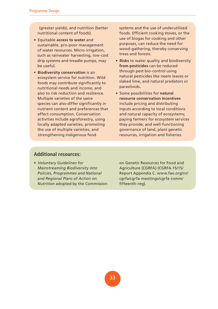(greater yields), and nutrition (better nutritional content of foods).

- Equitable **access to water** and sustainable, pro-poor management of water resources. Micro-irrigation, such as rainwater harvesting, low-cost drip systems and treadle pumps, may be useful.
- **• Biodiversity conservation** is an ecosystem service for nutrition. Wild foods may contribute significantly to nutritional needs and income, and also to risk reduction and resilience. Multiple varieties of the same species can also differ significantly in nutrient content and preferences that affect consumption. Conservation activities include agroforestry, using locally adapted varieties, promoting the use of multiple varieties, and strengthening indigenous food

systems and the use of underutilized foods. Efficient cooking stoves, or the use of biogas for cooking and other purposes, can reduce the need for wood-gathering, thereby conserving trees and forests.

- **• Risks** to water quality and biodiversity **from pesticides** can be reduced through pest bio-control using natural pesticides like neem leaves or slaked lime, and natural predators or parasitoids.
- Some possibilities for **natural resource conservation incentives** include pricing and distributing inputs according to local conditions and natural capacity of ecosystems; paying farmers for ecosystem services they provide; and well-functioning governance of land, plant genetic resources, irrigation and fisheries.

#### **Additional resources:**

*• Voluntary Guidelines for Mainstreaming Biodiversity into Policies, Programmes and National and Regional Plans of Action on Nutrition* adopted by the Commission on Genetic Resources for Food and Agriculture (CGRFA) (CGRFA-15/15/ Report Appendix C. www.fao.org/nr/ cgrfa/cgrfa-meetings/cgrfa-comm/ fifteenth-reg).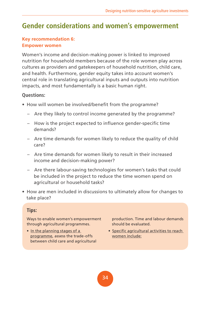### <span id="page-43-0"></span>**Gender considerations and women's empowerment**

#### **Key recommendation 6: Empower women**

Women's income and decision-making power is linked to improved nutrition for household members because of the role women play across cultures as providers and gatekeepers of household nutrition, child care, and health. Furthermore, gender equity takes into account women's central role in translating agricultural inputs and outputs into nutrition impacts, and most fundamentally is a basic human right.

#### **Questions:**

- How will women be involved/benefit from the programme?
	- –– Are they likely to control income generated by the programme?
	- –– How is the project expected to influence gender-specific time demands?
	- –– Are time demands for women likely to reduce the quality of child care?
	- –– Are time demands for women likely to result in their increased income and decision-making power?
	- –– Are there labour-saving technologies for women's tasks that could be included in the project to reduce the time women spend on agricultural or household tasks?
- How are men included in discussions to ultimately allow for changes to take place?

#### **Tips:**

Ways to enable women's empowerment through agricultural programmes.

• In the planning stages of a programme, assess the trade-offs between child care and agricultural production. Time and labour demands should be evaluated.

• Specific agricultural activities to reach women include: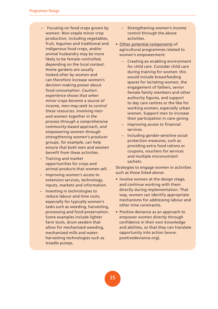- –– Focusing on food crops grown by women. Non-staple minor crop production, including vegetables, fruit, legumes and traditional and indigenous food crops, and/or animal husbandry may be more likely to be female-controlled, depending on the local context. Home gardens are usually looked after by women and can therefore increase women's decision-making power about food consumption. *Caution: experience shows that when minor crops become a source of income, men may seek to control these resources. Involving men and women together in the process through a comprehensive community-based approach, and empowering women through strengthening women's producer groups, for example, can help ensure that both men and women benefit from these activities.*
- –– Training and market opportunities for crops and animal products that women sell.
- –– Improving women's access to extension services, technology, inputs, markets and information.
- –– Investing in technologies to reduce labour and time costs, especially for typically women's tasks such as weeding, harvesting, processing and food preservation. Some examples include lighter farm tools, drum seeders that allow for mechanized weeding, mechanized mills and waterharvesting technologies such as treadle pumps.
- Strengthening women's income control through the above activities.
- Other potential components of agricultural programmes related to women's empowerment:
	- –– Creating an enabling environment for child care. Consider child care during training for women: this would include breastfeeding spaces for lactating women, the engagement of fathers, senior female family members and other authority figures, and support to day care centres or the like for working women, especially urban women. Support men to increase their participation in care-giving.
	- Improving access to financial services.
	- Including gender-sensitive social protection measures, such as providing extra food rations or coupons, vouchers for services and multiple micronutrient sachets.

Strategies to engage women in activities such as those listed above:

- Involve women at the design stage, and continue working with them directly during implementation. That way, women can identify appropriate mechanisms for addressing labour and other time constraints.
- Positive deviance as an approach to empower women directly through confidence in their own knowledge and abilities, so that they can translate opportunity into action (www. positivedeviance.org).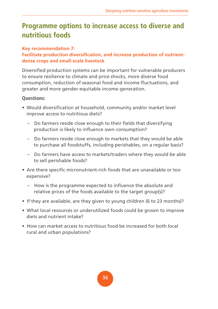### <span id="page-45-0"></span>**Programme options to increase access to diverse and nutritious foods**

#### **Key recommendation 7:**

#### **Facilitate production diversification, and increase production of nutrientdense crops and small-scale livestock**

Diversified production systems can be important for vulnerable producers to ensure resilience to climate and price shocks, more diverse food consumption, reduction of seasonal food and income fluctuations, and greater and more gender-equitable income-generation.

#### **Questions:**

- Would diversification at household, community and/or market level improve access to nutritious diets?
	- –– Do farmers reside close enough to their fields that diversifying production is likely to influence own-consumption?
	- –– Do farmers reside close enough to markets that they would be able to purchase all foodstuffs, including perishables, on a regular basis?
	- –– Do farmers have access to markets/traders where they would be able to sell perishable foods?
- Are there specific micronutrient-rich foods that are unavailable or too expensive?
	- –– How is the programme expected to influence the absolute and relative prices of the foods available to the target group(s)?
- If they are available, are they given to young children (6 to 23 months)?
- What local resources or underutilized foods could be grown to improve diets and nutrient intake?
- How can market access to nutritious food be increased for both local rural and urban populations?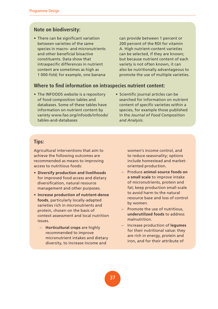#### **Note on biodiversity:**

• There can be significant variation between varieties of the same species in macro- and micronutrients and other beneficial bioactive constituents. Data show that intraspecific differences in nutrient content are sometimes as high as 1 000-fold; for example, one banana can provide between 1 percent or 200 percent of the RDI for vitamin A. High nutrient-content varieties can be selected, if they are known; but because nutrient content of each variety is not often known, it can also be nutritionally advantageous to promote the use of multiple varieties.

#### **Where to find information on intraspecies nutrient content:**

- The INFOODS website is a repository of food composition tables and databases. Some of these tables have information on nutrient content by variety www.fao.org/infoods/infoods/ tables-and-databases
- Scientific journal articles can be searched for information on nutrient content of specific varieties within a species, for example those published in the *Journal of Food Composition and Analysis*.

#### **Tips:**

Agricultural interventions that aim to achieve the following outcomes are recommended as means to improving access to nutritious foods:

- **• Diversify production and livelihoods** for improved food access and dietary diversification, natural resource management and other purposes.
- **• Increase production of nutrient-dense foods**, particularly locally-adapted varieties rich in micronutrients and protein, chosen on the basis of context assessment and local nutrition issues.
	- – **Horticultural crops** are highly recommended to improve micronutrient intakes and dietary diversity, to increase income and

women's income control, and to reduce seasonality; options include homestead and marketoriented production.

- –– Produce **animal-source foods on a small scale** to improve intake of micronutrients, protein and fat; keep production small-scale to avoid harm to the natural resource base and loss of control by women.
- –– Promote the use of nutritious, **underutilized foods** to address malnutrition.
- –– Increase production of **legumes** for their nutritional value: they are rich in energy, protein and iron, and for their attribute of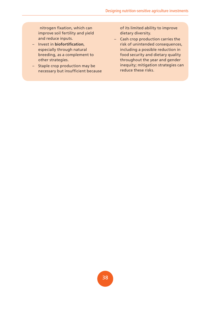nitrogen fixation, which can improve soil fertility and yield and reduce inputs.

- –– Invest in **biofortification**, especially through natural breeding, as a complement to other strategies.
- –– Staple crop production may be necessary but insufficient because

of its limited ability to improve dietary diversity.

–– Cash crop production carries the risk of unintended consequences, including a possible reduction in food security and dietary quality throughout the year and gender inequity; mitigation strategies can reduce these risks.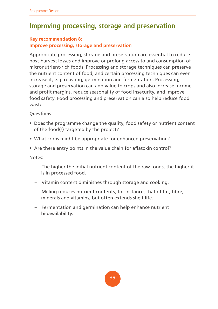### <span id="page-48-0"></span>**Improving processing, storage and preservation**

#### **Key recommendation 8: Improve processing, storage and preservation**

Appropriate processing, storage and preservation are essential to reduce post-harvest losses and improve or prolong access to and consumption of micronutrient-rich foods. Processing and storage techniques can preserve the nutrient content of food, and certain processing techniques can even increase it, e.g. roasting, germination and fermentation. Processing, storage and preservation can add value to crops and also increase income and profit margins, reduce seasonality of food insecurity, and improve food safety. Food processing and preservation can also help reduce food waste.

#### **Questions:**

- Does the programme change the quality, food safety or nutrient content of the food(s) targeted by the project?
- What crops might be appropriate for enhanced preservation?
- Are there entry points in the value chain for aflatoxin control?

Notes:

- –– The higher the initial nutrient content of the raw foods, the higher it is in processed food.
- –– Vitamin content diminishes through storage and cooking.
- –– Milling reduces nutrient contents, for instance, that of fat, fibre, minerals and vitamins, but often extends shelf life.
- –– Fermentation and germination can help enhance nutrient bioavailability.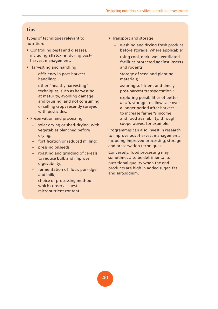#### **Tips:**

Types of techniques relevant to nutrition:

- Controlling pests and diseases, including aflatoxins, during postharvest management.
- Harvesting and handling
	- –– efficiency in post-harvest handling;
	- –– other "healthy harvesting" techniques, such as harvesting at maturity, avoiding damage and bruising, and not consuming or selling crops recently sprayed with pesticides.
- Preservation and processing
	- –– solar drying or shed-drying, with vegetables blanched before drying;
	- –– fortification or reduced milling;
	- –– pressing oilseeds;
	- –– roasting and grinding of cereals to reduce bulk and improve digestibility;
	- –– fermentation of flour, porridge and milk;
	- –– choice of processing method which conserves best micronutrient content.
- Transport and storage
	- –– washing and drying fresh produce before storage, where applicable;
	- –– using cool, dark, well-ventilated facilities protected against insects and rodents;
	- –– storage of seed and planting materials;
	- –– assuring sufficient and timely post-harvest transportation ;
	- –– exploring possibilities of better *in situ* storage to allow sale over a longer period after harvest to increase farmer's income and food availability, through cooperatives, for example.

Programmes can also invest in research to improve post-harvest management, including improved processing, storage and preservation techniques.

Conversely, food processing may sometimes also be detrimental to nutritional quality when the end products are high in added sugar, fat and salt/sodium.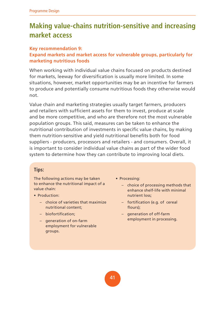### <span id="page-50-0"></span>**Making value-chains nutrition-sensitive and increasing market access**

#### **Key recommendation 9:**

#### **Expand markets and market access for vulnerable groups, particularly for marketing nutritious foods**

When working with individual value chains focused on products destined for markets, leeway for diversification is usually more limited. In some situations, however, market opportunities may be an incentive for farmers to produce and potentially consume nutritious foods they otherwise would not.

Value chain and marketing strategies usually target farmers, producers and retailers with sufficient assets for them to invest, produce at scale and be more competitive, and who are therefore not the most vulnerable population groups. This said, measures can be taken to enhance the nutritional contribution of investments in specific value chains, by making them nutrition-sensitive and yield nutritional benefits both for food suppliers - producers, processors and retailers - and consumers. Overall, it is important to consider individual value chains as part of the wider food system to determine how they can contribute to improving local diets.

#### **Tips:**

The following actions may be taken to enhance the nutritional impact of a value chain:

- Production:
	- –– choice of varieties that maximize nutritional content;
	- –– biofortification;
	- –– generation of on-farm employment for vulnerable groups.
- Processing:
	- –– choice of processing methods that enhance shelf-life with minimal nutrient loss;
	- –– fortification (e.g. of cereal flours);
	- –– generation of off-farm employment in processing.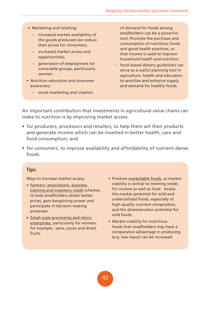- Marketing and retailing:
	- –– increased market availability of the goods produced can reduce their prices for consumers;
	- –– increased market access and opportunities;
	- –– generation of employment for vulnerable groups, particularly women.
- Nutrition education and consumer awareness:
	- –– social marketing and creation

of demand for foods among smallholders can be a powerful tool. Promote the purchase and consumption of nutritious foods and good health practices, so that income is used to improve household health and nutrition.

–– food-based dietary guidelines can serve as a useful planning tool in agriculture, health and education to sensitize and enhance supply and demand for healthy foods.

An important contribution that investments in agricultural value chains can make to nutrition is by improving market access:

- for producers, processors and retailers, to help them sell their products and generate income which can be invested in better health, care and food consumption; and
- for consumers, to improve availability and affordability of nutrient-dense foods.

#### **Tips:**

Ways to increase market access:

- Farmers' associations, business training and inventory credit schemes to help smallholders attain better prices, gain bargaining power and participate in decision-making processes.
- Small-scale processing and microenterprises, particularly for women; for example : jams, juices and dried fruits.
- Produce marketable foods, as market viability is central to meeting needs for income as well as food. Assess the market potential for wild and underutilized foods, especially of high-quality nutrient composition, and the domestication potential for wild foods.
- Market viability for nutritious foods that smallholders may have a comparative advantage in producing (e.g. low input) can be increased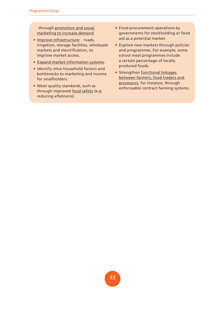through promotion and social marketing to increase demand.

- Improve infrastructure: . roads, irrigation, storage facilities, wholesale markets and electrification, to improve market access.
- Expand market information systems.
- Identify intra-household factors and bottlenecks to marketing and income for smallholders.
- Meet quality standards, such as through improved food safety (e.g. reducing aflatoxins).
- Food procurement operations by governments for stockholding or food aid as a potential market.
- Explore new markets through policies and programmes. For example, some school meal programmes include a certain percentage of locally produced foods.
- Strengthen functional linkages between farmers, food traders and processors, for instance, through enforceable contract farming systems.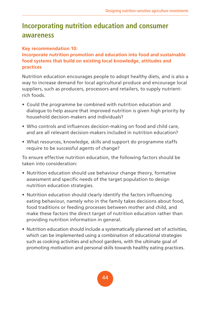### <span id="page-53-0"></span>**Incorporating nutrition education and consumer awareness**

#### **Key recommendation 10:**

**Incorporate nutrition promotion and education into food and sustainable food systems that build on existing local knowledge, attitudes and practices**

Nutrition education encourages people to adopt healthy diets, and is also a way to increase demand for local agricultural produce and encourage local suppliers, such as producers, processors and retailers, to supply nutrientrich foods.

- Could the programme be combined with nutrition education and dialogue to help assure that improved nutrition is given high priority by household decision-makers and individuals?
- Who controls and influences decision-making on food and child care, and are all relevant decision-makers included in nutrition education?
- What resources, knowledge, skills and support do programme staffs require to be successful agents of change?

To ensure effective nutrition education, the following factors should be taken into consideration:

- Nutrition education should use behaviour change theory, formative assessment and specific needs of the target population to design nutrition education strategies.
- Nutrition education should clearly identify the factors influencing eating behaviour, namely who in the family takes decisions about food, food traditions or feeding processes between mother and child, and make these factors the direct target of nutrition education rather than providing nutrition information in general.
- Nutrition education should include a systematically planned set of activities, which can be implemented using a combination of educational strategies such as cooking activities and school gardens, with the ultimate goal of promoting motivation and personal skills towards healthy eating practices.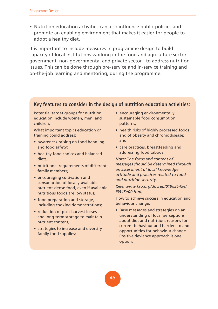• Nutrition education activities can also influence public policies and promote an enabling environment that makes it easier for people to adopt a healthy diet.

It is important to include measures in programme design to build capacity of local institutions working in the food and agriculture sector government, non-governmental and private sector - to address nutrition issues. This can be done through pre-service and in-service training and on-the-job learning and mentoring, during the programme.

#### **Key features to consider in the design of nutrition education activities:**

Potential target groups for nutrition education include women, men, and children.

What important topics education or training could address:

- awareness-raising on food handling and food safety;
- healthy food choices and balanced diets;
- nutritional requirements of different family members;
- encouraging cultivation and consumption of locally-available nutrient-dense food, even if available nutritious foods are low status;
- food preparation and storage, including cooking demonstrations;
- reduction of post-harvest losses and long-term storage to maintain nutrient content;
- strategies to increase and diversify family food supplies;
- encouraging environmentally sustainable food consumption patterns;
- health risks of highly processed foods and of obesity and chronic disease; and
- care practices, breastfeeding and addressing food taboos.

*Note: The focus and content of messages should be determined through an assessment of local knowledge, attitude and practices related to food and nutrition security.* 

*(See: www.fao.org/docrep/019/i3545e/ i3545e00.htm)*

How to achieve success in education and behaviour change:

• Base messages and strategies on an understanding of local perceptions about diet and nutrition, reasons for current behaviour and barriers to and opportunities for behaviour change. Positive deviance approach is one option.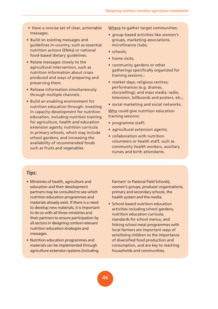- Have a concise set of clear, actionable messages.
- Build on existing messages and guidelines in-country, such as essential nutrition actions (ENAs) or national food-based dietary guidelines.
- Relate messages closely to the agricultural intervention, such as nutrition information about crops produced and ways of preparing and preserving them.
- Release information simultaneously through multiple channels.
- Build an enabling environment for nutrition education through: investing in capacity-development for nutrition education, including nutrition training for agriculture, health and education extension agents; nutrition curricula in primary schools, which may include school gardens; and increasing the availability of recommended foods such as fruits and vegetables.

#### Where to gather target communities:

- group-based activities like women's groups, marketing associations, microfinance clubs;
- schools;
- home visits;
- community gardens or other gatherings specifically organized for training sessions ;
- market days; religious centres; performances (e.g. dramas, storytelling); and mass media: radio, television, billboards and posters, etc.;
- social marketing and social networks.

Who could give nutrition education training sessions:

- programme staff;
- agricultural extension agents;
- collaboration with nutrition volunteers or health staff, such as community health workers, auxiliary nurses and birth attendants.

#### **Tips:**

- Ministries of health, agriculture and education and their development partners may be consulted to see which nutrition education programmes and materials already exist. If there is a need to develop new materials, it is important to do so with all three ministries and their partners to ensure participation by all sectors in designing context-relevant nutrition education strategies and messages.
- Nutrition education programmes and materials can be implemented through agriculture extension systems (including

Farmers' or Pastoral Field Schools), women's groups, producer organizations, primary and secondary schools, the health system and the media.

• School-based nutrition education activities including school gardens, nutrition education curricula, standards for school menus, and linking school meal programmes with local farmers are important ways of sensitizing children to the importance of diversified food production and consumption, and are key to reaching households and communities.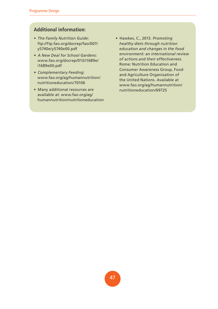#### **Additional information:**

- *• The Family Nutrition Guide*: ftp://ftp.fao.org/docrep/fao/007/ y5740e/y5740e00.pdf
- *• A New Deal for School Gardens*: www.fao.org/docrep/013/i1689e/ i1689e00.pdf
- *• Complementary Feeding*: www.fao.org/ag/humannutrition/ nutritioneducation/70106
- Many additional resources are available at: www.fao.org/ag/ humannutrition/nutritioneducation
- Hawkes, C., 2013. *Promoting healthy diets through nutrition education and changes in the food environment: an international review of actions and their effectiveness*. Rome: Nutrition Education and Consumer Awareness Group, Food and Agriculture Organization of the United Nations. Available at www.fao.org/ag/humannutrition/ nutritioneducation/69725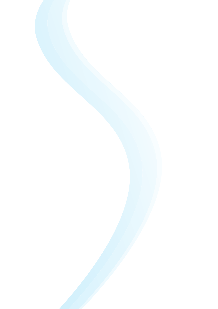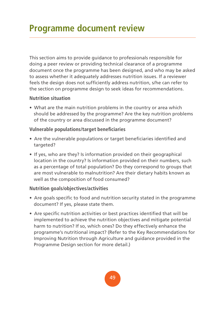# <span id="page-58-0"></span>**Programme document review**

This section aims to provide guidance to professionals responsible for doing a peer review or providing technical clearance of a programme document once the programme has been designed, and who may be asked to assess whether it adequately addresses nutrition issues. If a reviewer feels the design does not sufficiently address nutrition, s/he can refer to the section on programme design to seek ideas for recommendations.

#### **Nutrition situation**

• What are the main nutrition problems in the country or area which should be addressed by the programme? Are the key nutrition problems of the country or area discussed in the programme document?

#### **Vulnerable populations/target beneficiaries**

- Are the vulnerable populations or target beneficiaries identified and targeted?
- If yes, who are they? Is information provided on their geographical location in the country? Is information provided on their numbers, such as a percentage of total population? Do they correspond to groups that are most vulnerable to malnutrition? Are their dietary habits known as well as the composition of food consumed?

#### **Nutrition goals/objectives/activities**

- Are goals specific to food and nutrition security stated in the programme document? If yes, please state them.
- Are specific nutrition activities or best practices identified that will be implemented to achieve the nutrition objectives and mitigate potential harm to nutrition? If so, which ones? Do they effectively enhance the programme's nutritional impact? (Refer to the Key Recommendations for Improving Nutrition through Agriculture and guidance provided in the Programme Design section for more detail.)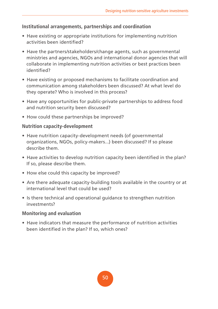#### **Institutional arrangements, partnerships and coordination**

- Have existing or appropriate institutions for implementing nutrition activities been identified?
- Have the partners/stakeholders/change agents, such as governmental ministries and agencies, NGOs and international donor agencies that will collaborate in implementing nutrition activities or best practices been identified?
- Have existing or proposed mechanisms to facilitate coordination and communication among stakeholders been discussed? At what level do they operate? Who is involved in this process?
- Have any opportunities for public-private partnerships to address food and nutrition security been discussed?
- How could these partnerships be improved?

#### **Nutrition capacity-development**

- Have nutrition capacity-development needs (of governmental organizations, NGOs, policy-makers...) been discussed? If so please describe them.
- Have activities to develop nutrition capacity been identified in the plan? If so, please describe them.
- How else could this capacity be improved?
- Are there adequate capacity-building tools available in the country or at international level that could be used?
- Is there technical and operational guidance to strengthen nutrition investments?

#### **Monitoring and evaluation**

• Have indicators that measure the performance of nutrition activities been identified in the plan? If so, which ones?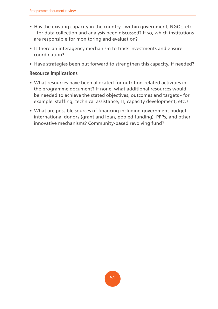- Has the existing capacity in the country within government, NGOs, etc. - for data collection and analysis been discussed? If so, which institutions are responsible for monitoring and evaluation?
- Is there an interagency mechanism to track investments and ensure coordination?
- Have strategies been put forward to strengthen this capacity, if needed?

#### **Resource implications**

- What resources have been allocated for nutrition-related activities in the programme document? If none, what additional resources would be needed to achieve the stated objectives, outcomes and targets - for example: staffing, technical assistance, IT, capacity development, etc.?
- What are possible sources of financing including government budget, international donors (grant and loan, pooled funding), PPPs, and other innovative mechanisms? Community-based revolving fund?